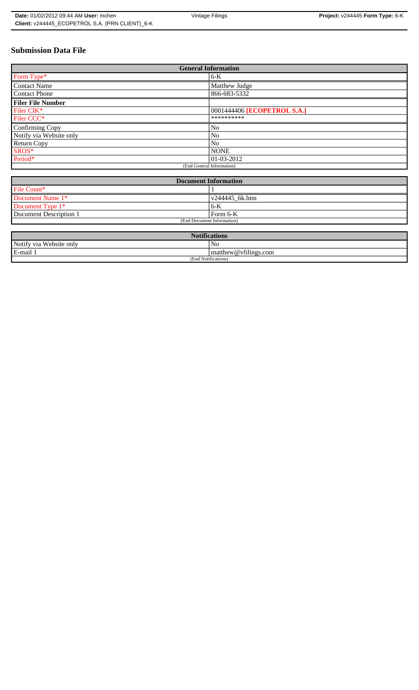# **Submission Data File**

| <b>General Information</b> |                             |  |  |  |
|----------------------------|-----------------------------|--|--|--|
| Form Type*                 | $6-K$                       |  |  |  |
| <b>Contact Name</b>        | Matthew Judge               |  |  |  |
| <b>Contact Phone</b>       | 866-683-5332                |  |  |  |
| <b>Filer File Number</b>   |                             |  |  |  |
| Filer CIK*                 | 0001444406 [ECOPETROL S.A.] |  |  |  |
| Filer CCC*                 | **********                  |  |  |  |
| Confirming Copy            | No                          |  |  |  |
| Notify via Website only    | No                          |  |  |  |
| <b>Return Copy</b>         | N <sub>0</sub>              |  |  |  |
| SROS*                      | <b>NONE</b>                 |  |  |  |
| Period*                    | $ 01-03-2012 $              |  |  |  |
| (End General Information)  |                             |  |  |  |

| <b>Document Information</b> |                        |  |  |
|-----------------------------|------------------------|--|--|
| File Count*                 |                        |  |  |
| Document Name 1*            | $\sqrt{244445}$ 6k.htm |  |  |
| Document Type 1*            | ' 6-K                  |  |  |
| Document Description 1      | Form 6-K               |  |  |
| (End Document Information)  |                        |  |  |

| <b>Notifications</b>    |                      |  |  |
|-------------------------|----------------------|--|--|
| Notify via Website only | No                   |  |  |
| E-mail                  | matthew@vfilings.com |  |  |
| (End Notifications)     |                      |  |  |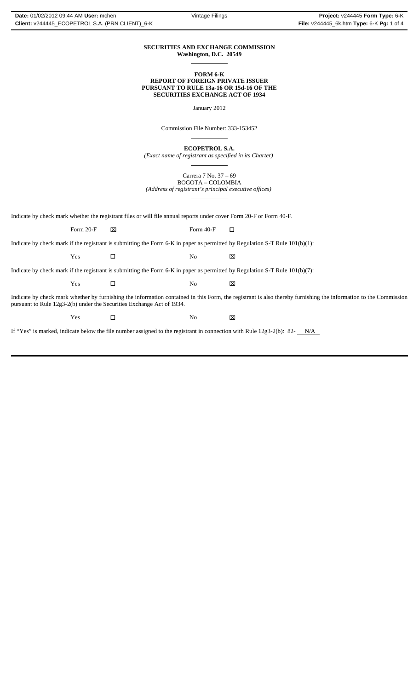### **SECURITIES AND EXCHANGE COMMISSION Washington, D.C. 20549**

 $\overline{a}$ 

 $\overline{a}$ 

 $\overline{a}$ 

 $\overline{a}$ 

### **FORM 6-K REPORT OF FOREIGN PRIVATE ISSUER PURSUANT TO RULE 13a-16 OR 15d-16 OF THE SECURITIES EXCHANGE ACT OF 1934**

January 2012

Commission File Number: 333-153452

**ECOPETROL S.A.**

*(Exact name of registrant as specified in its Charter)*  $\overline{a}$ 

> Carrera 7 No. 37 – 69 BOGOTA – COLOMBIA

*(Address of registrant's principal executive offices)*

Indicate by check mark whether the registrant files or will file annual reports under cover Form 20-F or Form 40-F.

Form 20-F  $\boxtimes$  Form 40-F  $\Box$ 

Indicate by check mark if the registrant is submitting the Form 6-K in paper as permitted by Regulation S-T Rule 101(b)(1):

Yes □ No ⊠

Indicate by check mark if the registrant is submitting the Form 6-K in paper as permitted by Regulation S-T Rule 101(b)(7):

| Y es | N.<br>◡ | $\overline{v}$<br>ᅜ |
|------|---------|---------------------|
|      |         |                     |

Indicate by check mark whether by furnishing the information contained in this Form, the registrant is also thereby furnishing the information to the Commission pursuant to Rule 12g3-2(b) under the Securities Exchange Act of 1934.

 $Yes$   $\Box$  No  $\boxtimes$ 

If "Yes" is marked, indicate below the file number assigned to the registrant in connection with Rule 12g3-2(b): 82- $N/A$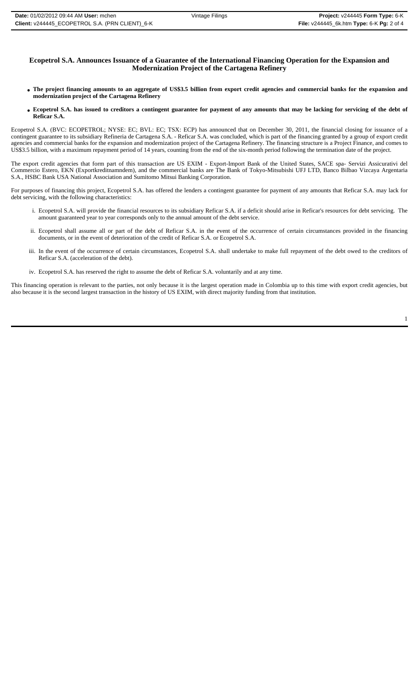## **Ecopetrol S.A. Announces Issuance of a Guarantee of the International Financing Operation for the Expansion and Modernization Project of the Cartagena Refinery**

- **The project financing amounts to an aggregate of US\$3.5 billion from export credit agencies and commercial banks for the expansion and modernization project of the Cartagena Refinery**
- **Ecopetrol S.A. has issued to creditors a contingent guarantee for payment of any amounts that may be lacking for servicing of the debt of Reficar S.A.**

Ecopetrol S.A. (BVC: ECOPETROL; NYSE: EC; BVL: EC; TSX: ECP) has announced that on December 30, 2011, the financial closing for issuance of a contingent guarantee to its subsidiary Refineria de Cartagena S.A. - Reficar S.A. was concluded, which is part of the financing granted by a group of export credit agencies and commercial banks for the expansion and modernization project of the Cartagena Refinery. The financing structure is a Project Finance, and comes to US\$3.5 billion, with a maximum repayment period of 14 years, counting from the end of the six-month period following the termination date of the project.

The export credit agencies that form part of this transaction are US EXIM - Export-Import Bank of the United States, SACE spa- Servizi Assicurativi del Commercio Estero, EKN (Exportkreditnamndem), and the commercial banks are The Bank of Tokyo-Mitsubishi UFJ LTD, Banco Bilbao Vizcaya Argentaria S.A., HSBC Bank USA National Association and Sumitomo Mitsui Banking Corporation.

For purposes of financing this project, Ecopetrol S.A. has offered the lenders a contingent guarantee for payment of any amounts that Reficar S.A. may lack for debt servicing, with the following characteristics:

- i. Ecopetrol S.A. will provide the financial resources to its subsidiary Reficar S.A. if a deficit should arise in Reficar's resources for debt servicing. The amount guaranteed year to year corresponds only to the annual amount of the debt service.
- ii. Ecopetrol shall assume all or part of the debt of Reficar S.A. in the event of the occurrence of certain circumstances provided in the financing documents, or in the event of deterioration of the credit of Reficar S.A. or Ecopetrol S.A.
- iii. In the event of the occurrence of certain circumstances, Ecopetrol S.A. shall undertake to make full repayment of the debt owed to the creditors of Reficar S.A. (acceleration of the debt).
- iv. Ecopetrol S.A. has reserved the right to assume the debt of Reficar S.A. voluntarily and at any time.

This financing operation is relevant to the parties, not only because it is the largest operation made in Colombia up to this time with export credit agencies, but also because it is the second largest transaction in the history of US EXIM, with direct majority funding from that institution.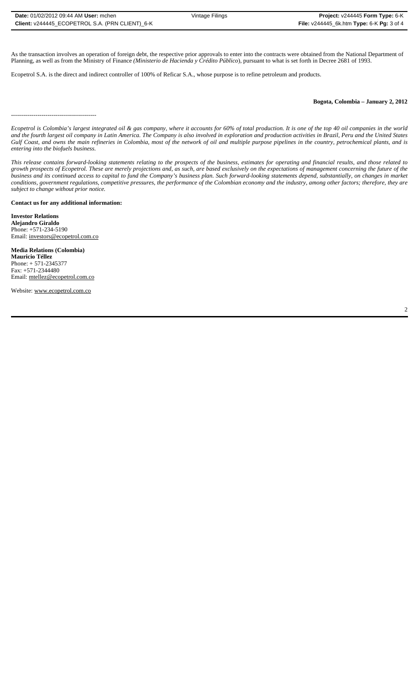As the transaction involves an operation of foreign debt, the respective prior approvals to enter into the contracts were obtained from the National Department of Planning, as well as from the Ministry of Finance *(Ministerio de Hacienda y Crédito Público*), pursuant to what is set forth in Decree 2681 of 1993.

Ecopetrol S.A. is the direct and indirect controller of 100% of Reficar S.A., whose purpose is to refine petroleum and products.

### **Bogota, Colombia – January 2, 2012**

------------------------------------------

*Ecopetrol is Colombia's largest integrated oil & gas company, where it accounts for 60% of total production. It is one of the top 40 oil companies in the world and the fourth largest oil company in Latin America. The Company is also involved in exploration and production activities in Brazil, Peru and the United States Gulf Coast, and owns the main refineries in Colombia, most of the network of oil and multiple purpose pipelines in the country, petrochemical plants, and is entering into the biofuels business.*

*This release contains forward-looking statements relating to the prospects of the business, estimates for operating and financial results, and those related to growth prospects of Ecopetrol. These are merely projections and, as such, are based exclusively on the expectations of management concerning the future of the business and its continued access to capital to fund the Company's business plan. Such forward-looking statements depend, substantially, on changes in market conditions, government regulations, competitive pressures, the performance of the Colombian economy and the industry, among other factors; therefore, they are subject to change without prior notice.*

**Contact us for any additional information:**

**Investor Relations Alejandro Giraldo** Phone: +571-234-5190 Email: investors@ecopetrol.com.co

**Media Relations (Colombia) Mauricio Téllez** Phone: + 571-2345377 Fax: +571-2344480 Email: mtellez@ecopetrol.com.co

Website: www.ecopetrol.com.co